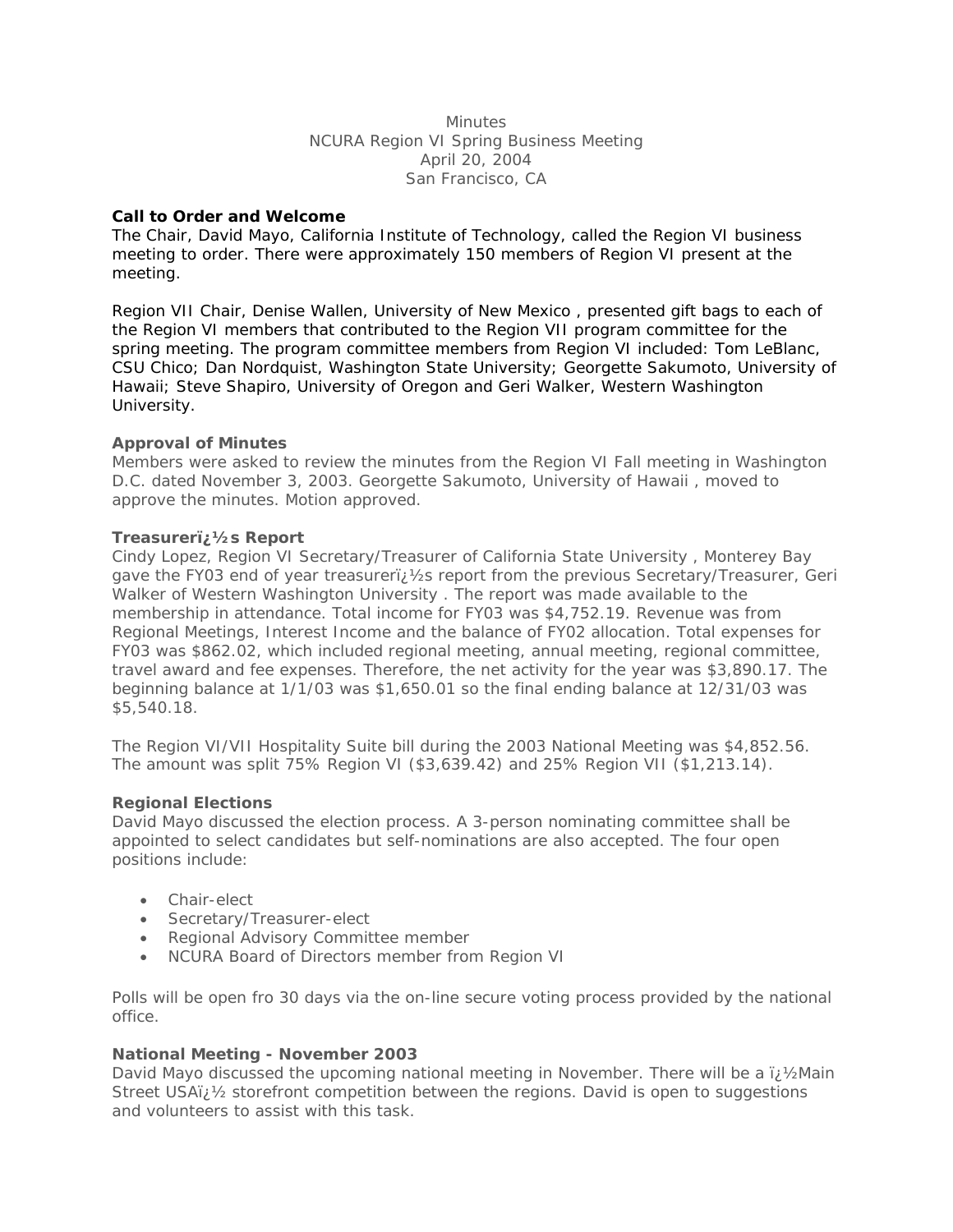**Minutes** NCURA Region VI Spring Business Meeting April 20, 2004 San Francisco, CA

# **Call to Order and Welcome**

The Chair, David Mayo, California Institute of Technology, called the Region VI business meeting to order. There were approximately 150 members of Region VI present at the meeting.

Region VII Chair, Denise Wallen, University of New Mexico , presented gift bags to each of the Region VI members that contributed to the Region VII program committee for the spring meeting. The program committee members from Region VI included: Tom LeBlanc, CSU Chico; Dan Nordquist, Washington State University; Georgette Sakumoto, University of Hawaii; Steve Shapiro, University of Oregon and Geri Walker, Western Washington University.

## **Approval of Minutes**

Members were asked to review the minutes from the Region VI Fall meeting in Washington D.C. dated November 3, 2003. Georgette Sakumoto, University of Hawaii , moved to approve the minutes. Motion approved.

## **Treasurer�s Report**

Cindy Lopez, Region VI Secretary/Treasurer of California State University , Monterey Bay gave the FY03 end of year treasureri;  $\frac{1}{2}$ s report from the previous Secretary/Treasurer, Geri Walker of Western Washington University . The report was made available to the membership in attendance. Total income for FY03 was \$4,752.19. Revenue was from Regional Meetings, Interest Income and the balance of FY02 allocation. Total expenses for FY03 was \$862.02, which included regional meeting, annual meeting, regional committee, travel award and fee expenses. Therefore, the net activity for the year was \$3,890.17. The beginning balance at 1/1/03 was \$1,650.01 so the final ending balance at 12/31/03 was \$5,540.18.

The Region VI/VII Hospitality Suite bill during the 2003 National Meeting was \$4,852.56. The amount was split 75% Region VI (\$3,639.42) and 25% Region VII (\$1,213.14).

#### **Regional Elections**

David Mayo discussed the election process. A 3-person nominating committee shall be appointed to select candidates but self-nominations are also accepted. The four open positions include:

- Chair-elect
- Secretary/Treasurer-elect
- Regional Advisory Committee member
- NCURA Board of Directors member from Region VI

Polls will be open fro 30 days via the on-line secure voting process provided by the national office.

# **National Meeting - November 2003**

David Mayo discussed the upcoming national meeting in November. There will be a  $\ddot{\nu}$  1/2 Main Street USAi<sub>l</sub>  $\frac{1}{2}$  storefront competition between the regions. David is open to suggestions and volunteers to assist with this task.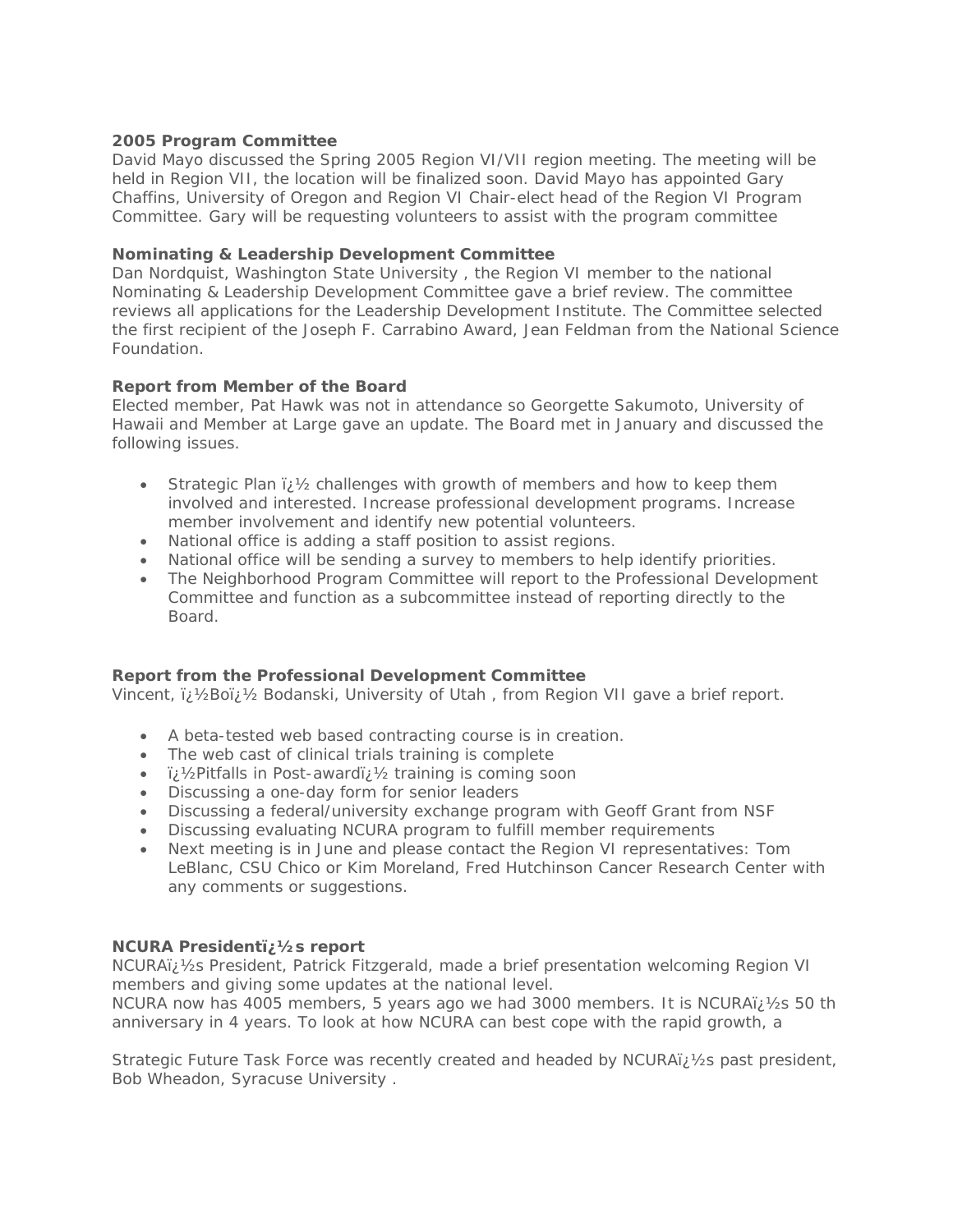# **2005 Program Committee**

David Mayo discussed the Spring 2005 Region VI/VII region meeting. The meeting will be held in Region VII, the location will be finalized soon. David Mayo has appointed Gary Chaffins, University of Oregon and Region VI Chair-elect head of the Region VI Program Committee. Gary will be requesting volunteers to assist with the program committee

## **Nominating & Leadership Development Committee**

Dan Nordquist, Washington State University , the Region VI member to the national Nominating & Leadership Development Committee gave a brief review. The committee reviews all applications for the Leadership Development Institute. The Committee selected the first recipient of the Joseph F. Carrabino Award, Jean Feldman from the National Science Foundation.

## **Report from Member of the Board**

Elected member, Pat Hawk was not in attendance so Georgette Sakumoto, University of Hawaii and Member at Large gave an update. The Board met in January and discussed the following issues.

- Strategic Plan  $\chi$  /2 challenges with growth of members and how to keep them involved and interested. Increase professional development programs. Increase member involvement and identify new potential volunteers.
- National office is adding a staff position to assist regions.
- National office will be sending a survey to members to help identify priorities.
- The Neighborhood Program Committee will report to the Professional Development Committee and function as a subcommittee instead of reporting directly to the Board.

# **Report from the Professional Development Committee**

Vincent,  $\ddot{v}$  /2Bo $\ddot{v}$  Bodanski, University of Utah, from Region VII gave a brief report.

- A beta-tested web based contracting course is in creation.
- The web cast of clinical trials training is complete
- ii 1/2Pitfalls in Post-awardiz 1/2 training is coming soon
- Discussing a one-day form for senior leaders
- Discussing a federal/university exchange program with Geoff Grant from NSF
- Discussing evaluating NCURA program to fulfill member requirements
- Next meeting is in June and please contact the Region VI representatives: Tom LeBlanc, CSU Chico or Kim Moreland, Fred Hutchinson Cancer Research Center with any comments or suggestions.

#### **NCURA Presidenti, 1/2s report**

NCURAï; 1/2s President, Patrick Fitzgerald, made a brief presentation welcoming Region VI members and giving some updates at the national level.

NCURA now has 4005 members, 5 years ago we had 3000 members. It is NCURA $i/2s$  50 th anniversary in 4 years. To look at how NCURA can best cope with the rapid growth, a

Strategic Future Task Force was recently created and headed by NCURAï; 1/2s past president, Bob Wheadon, Syracuse University .